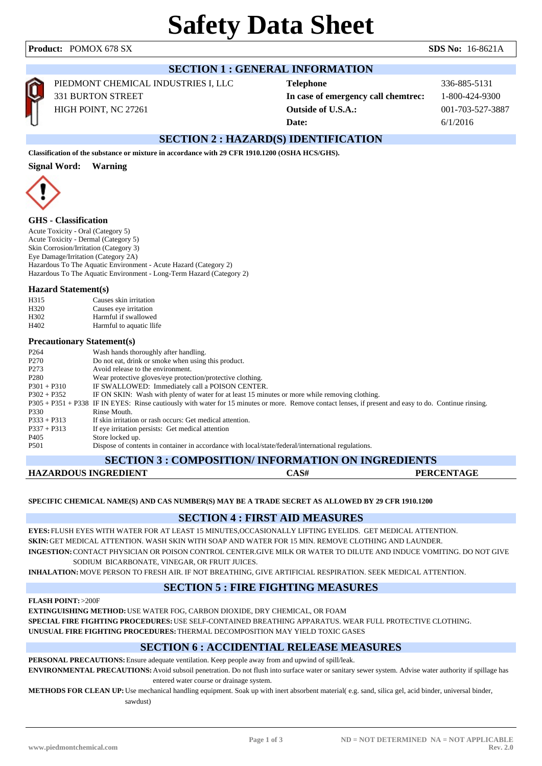## **SECTION 1 : GENERAL INFORMATION** PIEDMONT CHEMICAL INDUSTRIES I, LLC 331 BURTON STREET HIGH POINT, NC 27261

**Telephone** 336-885-5131 **In case of emergency call chemtrec:** 1-800-424-9300 **Outside of U.S.A.:** 001-703-527-3887 **Date:** 6/1/2016

## **SECTION 2 : HAZARD(S) IDENTIFICATION**

**Classification of the substance or mixture in accordance with 29 CFR 1910.1200 (OSHA HCS/GHS).**

#### **Signal Word: Warning**



#### **GHS - Classification**

Acute Toxicity - Oral (Category 5) Acute Toxicity - Dermal (Category 5) Skin Corrosion/Irritation (Category 3) Eye Damage/Irritation (Category 2A) Hazardous To The Aquatic Environment - Acute Hazard (Category 2) Hazardous To The Aquatic Environment - Long-Term Hazard (Category 2)

#### **Hazard Statement(s)**

| H <sub>3</sub> 15 | Causes skin irritation   |
|-------------------|--------------------------|
| H <sub>320</sub>  | Causes eye irritation    |
| H <sub>302</sub>  | Harmful if swallowed     |
| H402              | Harmful to aquatic llife |

#### **Precautionary Statement(s)**

| P <sub>264</sub> | Wash hands thoroughly after handling.                                                                                                                  |
|------------------|--------------------------------------------------------------------------------------------------------------------------------------------------------|
| P <sub>270</sub> | Do not eat, drink or smoke when using this product.                                                                                                    |
| P <sub>273</sub> | Avoid release to the environment.                                                                                                                      |
| P <sub>280</sub> | Wear protective gloves/eye protection/protective clothing.                                                                                             |
| $P301 + P310$    | IF SWALLOWED: Immediately call a POISON CENTER.                                                                                                        |
| $P302 + P352$    | IF ON SKIN: Wash with plenty of water for at least 15 minutes or more while removing clothing.                                                         |
|                  | P305 + P351 + P338 IF IN EYES: Rinse cautiously with water for 15 minutes or more. Remove contact lenses, if present and easy to do. Continue rinsing. |
| P330             | Rinse Mouth.                                                                                                                                           |
| $P333 + P313$    | If skin irritation or rash occurs: Get medical attention.                                                                                              |
| $P337 + P313$    | If eye irritation persists: Get medical attention                                                                                                      |
| P405             | Store locked up.                                                                                                                                       |
| P <sub>501</sub> | Dispose of contents in container in accordance with local/state/federal/international regulations.                                                     |
|                  |                                                                                                                                                        |

| <b>SECTION 3 : COMPOSITION/ INFORMATION ON INGREDIENTS</b> |  |      |                   |  |
|------------------------------------------------------------|--|------|-------------------|--|
| HAZARDOUS INGREDIENT                                       |  | CAS# | <b>PERCENTAGE</b> |  |

#### **SPECIFIC CHEMICAL NAME(S) AND CAS NUMBER(S) MAY BE A TRADE SECRET AS ALLOWED BY 29 CFR 1910.1200**

### **SECTION 4 : FIRST AID MEASURES**

**EYES:** FLUSH EYES WITH WATER FOR AT LEAST 15 MINUTES,OCCASIONALLY LIFTING EYELIDS. GET MEDICAL ATTENTION. **SKIN:**GET MEDICAL ATTENTION. WASH SKIN WITH SOAP AND WATER FOR 15 MIN. REMOVE CLOTHING AND LAUNDER. **INGESTION:**CONTACT PHYSICIAN OR POISON CONTROL CENTER.GIVE MILK OR WATER TO DILUTE AND INDUCE VOMITING. DO NOT GIVE

#### SODIUM BICARBONATE, VINEGAR, OR FRUIT JUICES.

**INHALATION:**MOVE PERSON TO FRESH AIR. IF NOT BREATHING, GIVE ARTIFICIAL RESPIRATION. SEEK MEDICAL ATTENTION.

### **SECTION 5 : FIRE FIGHTING MEASURES**

**FLASH POINT:**>200F

**EXTINGUISHING METHOD:**USE WATER FOG, CARBON DIOXIDE, DRY CHEMICAL, OR FOAM **SPECIAL FIRE FIGHTING PROCEDURES:**USE SELF-CONTAINED BREATHING APPARATUS. WEAR FULL PROTECTIVE CLOTHING. **UNUSUAL FIRE FIGHTING PROCEDURES:**THERMAL DECOMPOSITION MAY YIELD TOXIC GASES

### **SECTION 6 : ACCIDENTIAL RELEASE MEASURES**

**PERSONAL PRECAUTIONS:**Ensure adequate ventilation. Keep people away from and upwind of spill/leak. **ENVIRONMENTAL PRECAUTIONS:**Avoid subsoil penetration. Do not flush into surface water or sanitary sewer system. Advise water authority if spillage has entered water course or drainage system.

**METHODS FOR CLEAN UP:**Use mechanical handling equipment. Soak up with inert absorbent material( e.g. sand, silica gel, acid binder, universal binder, sawdust)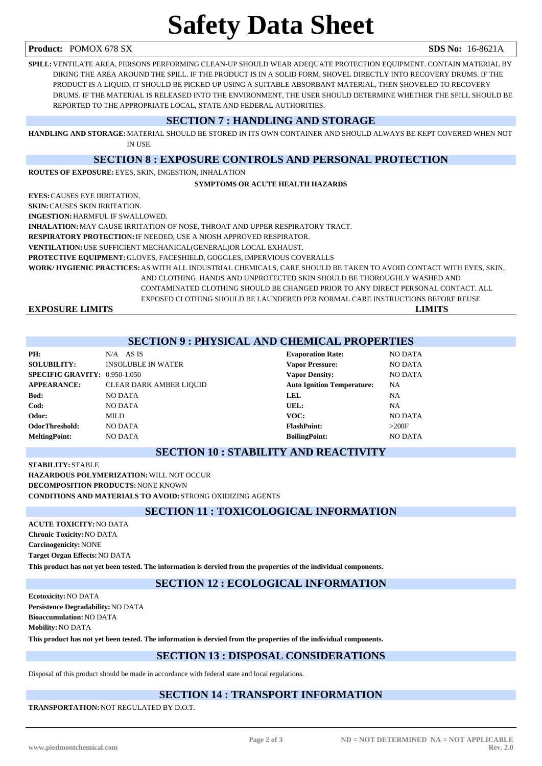**Product:** POMOX 678 SX **SDS No:** 16-8621A

# **Safety Data Sheet**

**SPILL:**VENTILATE AREA, PERSONS PERFORMING CLEAN-UP SHOULD WEAR ADEQUATE PROTECTION EQUIPMENT. CONTAIN MATERIAL BY DIKING THE AREA AROUND THE SPILL. IF THE PRODUCT IS IN A SOLID FORM, SHOVEL DIRECTLY INTO RECOVERY DRUMS. IF THE PRODUCT IS A LIQUID, IT SHOULD BE PICKED UP USING A SUITABLE ABSORBANT MATERIAL, THEN SHOVELED TO RECOVERY DRUMS. IF THE MATERIAL IS RELEASED INTO THE ENVIRONMENT, THE USER SHOULD DETERMINE WHETHER THE SPILL SHOULD BE REPORTED TO THE APPROPRIATE LOCAL, STATE AND FEDERAL AUTHORITIES.

### **SECTION 7 : HANDLING AND STORAGE**

**HANDLING AND STORAGE:**MATERIAL SHOULD BE STORED IN ITS OWN CONTAINER AND SHOULD ALWAYS BE KEPT COVERED WHEN NOT IN USE.

#### **SECTION 8 : EXPOSURE CONTROLS AND PERSONAL PROTECTION**

**ROUTES OF EXPOSURE:**EYES, SKIN, INGESTION, INHALATION

#### **SYMPTOMS OR ACUTE HEALTH HAZARDS**

**EYES:**CAUSES EYE IRRITATION.

**SKIN:**CAUSES SKIN IRRITATION.

**INGESTION:**HARMFUL IF SWALLOWED.

**INHALATION:**MAY CAUSE IRRITATION OF NOSE, THROAT AND UPPER RESPIRATORY TRACT.

**RESPIRATORY PROTECTION:**IF NEEDED, USE A NIOSH APPROVED RESPIRATOR.

**VENTILATION:**USE SUFFICIENT MECHANICAL(GENERAL)OR LOCAL EXHAUST.

**PROTECTIVE EQUIPMENT:**GLOVES, FACESHIELD, GOGGLES, IMPERVIOUS COVERALLS

**WORK/ HYGIENIC PRACTICES:**AS WITH ALL INDUSTRIAL CHEMICALS, CARE SHOULD BE TAKEN TO AVOID CONTACT WITH EYES, SKIN,

AND CLOTHING. HANDS AND UNPROTECTED SKIN SHOULD BE THOROUGHLY WASHED AND CONTAMINATED CLOTHING SHOULD BE CHANGED PRIOR TO ANY DIRECT PERSONAL CONTACT. ALL EXPOSED CLOTHING SHOULD BE LAUNDERED PER NORMAL CARE INSTRUCTIONS BEFORE REUSE

**EXPOSURE LIMITS LIMITS**

## **SECTION 9 : PHYSICAL AND CHEMICAL PROPERTIES**

| PH:                                  | $N/A$ AS IS                    | <b>Evaporation Rate:</b>          | <b>NO DATA</b> |
|--------------------------------------|--------------------------------|-----------------------------------|----------------|
| <b>SOLUBILITY:</b>                   | <b>INSOLUBLE IN WATER</b>      | <b>Vapor Pressure:</b>            | <b>NO DATA</b> |
| <b>SPECIFIC GRAVITY: 0.950-1.050</b> |                                | <b>Vapor Density:</b>             | <b>NO DATA</b> |
| <b>APPEARANCE:</b>                   | <b>CLEAR DARK AMBER LIQUID</b> | <b>Auto Ignition Temperature:</b> | NA             |
| Bod:                                 | <b>NO DATA</b>                 | <b>LEL</b>                        | <b>NA</b>      |
| Cod:                                 | <b>NO DATA</b>                 | UEL:                              | NA             |
| Odor:                                | MILD                           | VOC:                              | <b>NO DATA</b> |
| OdorThreshold:                       | <b>NO DATA</b>                 | <b>FlashPoint:</b>                | >200F          |
| <b>MeltingPoint:</b>                 | <b>NO DATA</b>                 | <b>BoilingPoint:</b>              | <b>NO DATA</b> |
|                                      |                                |                                   |                |

# **Vapor Pressure:** NO DATA **SPECIFIC GRAVITY:** NO DATA **Auto Ignition Temperature:** NA

**Evaporation Rate:** NO DATA

### **SECTION 10 : STABILITY AND REACTIVITY**

**STABILITY:** STABLE **HAZARDOUS POLYMERIZATION:**WILL NOT OCCUR **DECOMPOSITION PRODUCTS:**NONE KNOWN **CONDITIONS AND MATERIALS TO AVOID:** STRONG OXIDIZING AGENTS

### **SECTION 11 : TOXICOLOGICAL INFORMATION**

**ACUTE TOXICITY:**NO DATA **Chronic Toxicity:**NO DATA **Carcinogenicity:**NONE **Target Organ Effects:**NO DATA **This product has not yet been tested. The information is dervied from the properties of the individual components.**

**SECTION 12 : ECOLOGICAL INFORMATION**

**Ecotoxicity:**NO DATA **Persistence Degradability:**NO DATA **Bioaccumulation:**NO DATA **Mobility:**NO DATA

**This product has not yet been tested. The information is dervied from the properties of the individual components.**

## **SECTION 13 : DISPOSAL CONSIDERATIONS**

Disposal of this product should be made in accordance with federal state and local regulations.

### **SECTION 14 : TRANSPORT INFORMATION**

**TRANSPORTATION:**NOT REGULATED BY D.O.T.